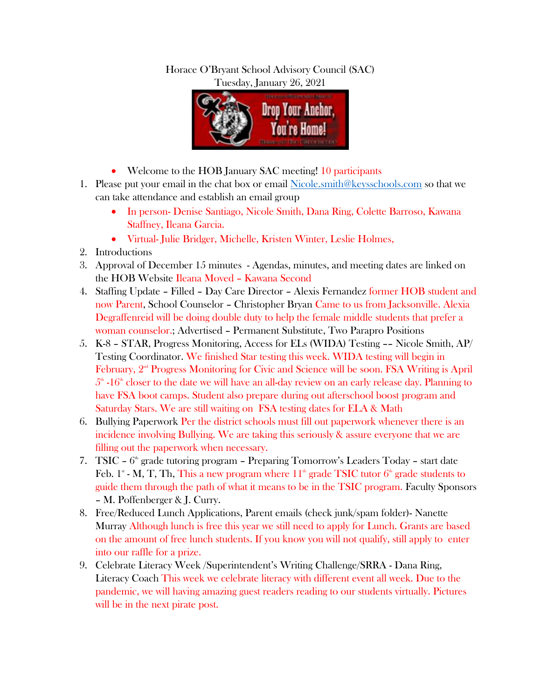## Horace O'Bryant School Advisory Council (SAC) Tuesday, January 26, 2021



- Welcome to the HOB January SAC meeting! 10 participants
- 1. Please put your email in the chat box or email [Nicole.smith@keysschools.com](mailto:Nicole.smith@keysschools.com) so that we can take attendance and establish an email group
	- In person- Denise Santiago, Nicole Smith, Dana Ring, Colette Barroso, Kawana Staffney, Ileana Garcia.
	- Virtual- Julie Bridger, Michelle, Kristen Winter, Leslie Holmes,
- 2. Introductions
- 3. Approval of December 15 minutes Agendas, minutes, and meeting dates are linked on the HOB Website Ileana Moved – Kawana Second
- 4. Staffing Update Filled Day Care Director Alexis Fernandez former HOB student and now Parent, School Counselor – Christopher Bryan Came to us from Jacksonville. Alexia Degraffenreid will be doing double duty to help the female middle students that prefer a woman counselor.; Advertised – Permanent Substitute, Two Parapro Positions
- 5. K-8 STAR, Progress Monitoring, Access for ELs (WIDA) Testing –– Nicole Smith, AP/ Testing Coordinator. We finished Star testing this week. WIDA testing will begin in February,  $2<sup>nd</sup>$  Progress Monitoring for Civic and Science will be soon. FSA Writing is April  $5<sup>th</sup>$  -16<sup>th</sup> closer to the date we will have an all-day review on an early release day. Planning to have FSA boot camps. Student also prepare during out afterschool boost program and Saturday Stars. We are still waiting on FSA testing dates for ELA & Math
- 6. Bullying Paperwork Per the district schools must fill out paperwork whenever there is an incidence involving Bullying. We are taking this seriously & assure everyone that we are filling out the paperwork when necessary.
- 7. TSIC  $-6<sup>th</sup>$  grade tutoring program  $-$  Preparing Tomorrow's Leaders Today  $-$  start date Feb. 1<sup>s</sup> - M, T, Th, This a new program where  $11^{\text{th}}$  grade TSIC tutor  $6^{\text{th}}$  grade students to guide them through the path of what it means to be in the TSIC program. Faculty Sponsors – M. Poffenberger & J. Curry.
- 8. Free/Reduced Lunch Applications, Parent emails (check junk/spam folder)- Nanette Murray Although lunch is free this year we still need to apply for Lunch. Grants are based on the amount of free lunch students. If you know you will not qualify, still apply to enter into our raffle for a prize.
- 9. Celebrate Literacy Week /Superintendent's Writing Challenge/SRRA Dana Ring, Literacy Coach This week we celebrate literacy with different event all week. Due to the pandemic, we will having amazing guest readers reading to our students virtually. Pictures will be in the next pirate post.